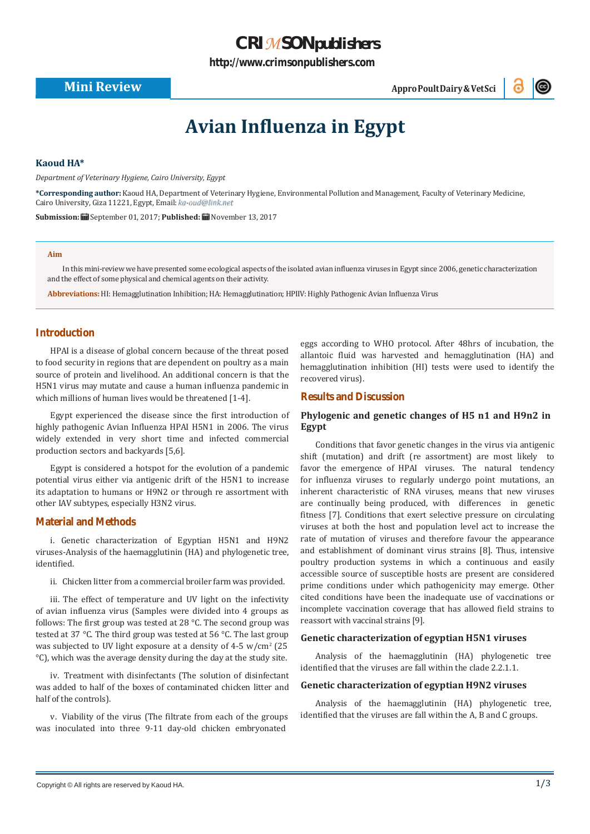## *CRIMSON[publishers](http://crimsonpublishers.com/)*

**[http://www.crimsonpublishers.com](http://crimsonpublishers.com/)**

**Mini Review AppropoultDairy&VetSci**<br> **AppropoultDairy&VetSci** 



# **Avian Influenza in Egypt**

#### **Kaoud HA\***

*Department of Veterinary Hygiene, Cairo University, Egypt*

**\*Corresponding author:** Kaoud HA, Department of Veterinary Hygiene, Environmental Pollution and Management, Faculty of Veterinary Medicine, Cairo University, Giza 11221, Egypt, Email: ka-oud@link.net

**Submission:** September 01, 2017; **Published:** November 13, 2017

#### **Aim**

In this mini-review we have presented some ecological aspects of the isolated avian influenza viruses in Egypt since 2006, genetic characterization and the effect of some physical and chemical agents on their activity.

**Abbreviations:** HI: Hemagglutination Inhibition;HA: Hemagglutination;HPIIV: Highly Pathogenic Avian Influenza Virus

#### **Introduction**

HPAI is a disease of global concern because of the threat posed to food security in regions that are dependent on poultry as a main source of protein and livelihood. An additional concern is that the H5N1 virus may mutate and cause a human influenza pandemic in which millions of human lives would be threatened [1-4].

Egypt experienced the disease since the first introduction of highly pathogenic Avian Influenza HPAI H5N1 in 2006. The virus widely extended in very short time and infected commercial production sectors and backyards [5,6].

Egypt is considered a hotspot for the evolution of a pandemic potential virus either via antigenic drift of the H5N1 to increase its adaptation to humans or H9N2 or through re assortment with other IAV subtypes, especially H3N2 virus.

#### **Material and Methods**

i. Genetic characterization of Egyptian H5N1 and H9N2 viruses-Analysis of the haemagglutinin (HA) and phylogenetic tree, identified.

ii. Chicken litter from a commercial broiler farm was provided.

iii. The effect of temperature and UV light on the infectivity of avian influenza virus (Samples were divided into 4 groups as follows: The first group was tested at 28 °C. The second group was tested at 37 °C. The third group was tested at 56 °C. The last group was subjected to UV light exposure at a density of 4-5  $w/cm^2$  (25 °C), which was the average density during the day at the study site.

iv. Treatment with disinfectants (The solution of disinfectant was added to half of the boxes of contaminated chicken litter and half of the controls).

v. Viability of the virus (The filtrate from each of the groups was inoculated into three 9-11 day-old chicken embryonated

eggs according to WHO protocol. After 48hrs of incubation, the allantoic fluid was harvested and hemagglutination (HA) and hemagglutination inhibition (HI) tests were used to identify the recovered virus).

#### **Results and Discussion**

### **Phylogenic and genetic changes of H5 n1 and H9n2 in Egypt**

Conditions that favor genetic changes in the virus via antigenic shift (mutation) and drift (re assortment) are most likely to favor the emergence of HPAI viruses. The natural tendency for influenza viruses to regularly undergo point mutations, an inherent characteristic of RNA viruses, means that new viruses are continually being produced, with differences in genetic fitness [7]. Conditions that exert selective pressure on circulating viruses at both the host and population level act to increase the rate of mutation of viruses and therefore favour the appearance and establishment of dominant virus strains [8]. Thus, intensive poultry production systems in which a continuous and easily accessible source of susceptible hosts are present are considered prime conditions under which pathogenicity may emerge. Other cited conditions have been the inadequate use of vaccinations or incomplete vaccination coverage that has allowed field strains to reassort with vaccinal strains [9].

#### **Genetic characterization of egyptian H5N1 viruses**

Analysis of the haemagglutinin (HA) phylogenetic tree identified that the viruses are fall within the clade 2.2.1.1.

#### **Genetic characterization of egyptian H9N2 viruses**

Analysis of the haemagglutinin (HA) phylogenetic tree, identified that the viruses are fall within the A, B and C groups.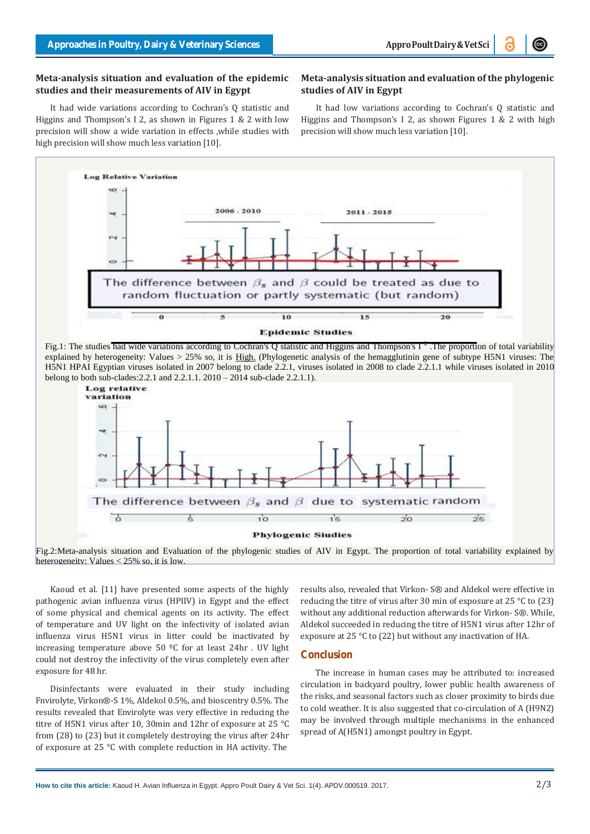#### **Meta-analysis situation and evaluation of the epidemic studies and their measurements of AIV in Egypt**

### **Meta-analysis situation and evaluation ofthe phylogenic studies of AIV in Egypt**

It had wide variations according to Cochran's Q statistic and Higgins and Thompson's I 2, as shown in Figures 1 & 2 with low precision will show a wide variation in effects ,while studies with high precision will show much less variation [10].

It had low variations according to Cochran's Q statistic and Higgins and Thompson's I 2, as shown Figures 1 & 2 with high precision will show much less variation [10].



Fig.1: The studies had wide variations according to Cochran's Q statistic and Higgins and Thompson's I<sup>2</sup>. The proportion of total variability explained by heterogeneity: Values > 25% so, it is High. (Phylogenetic analysis of the hemagglutinin gene of subtype H5N1 viruses: The H5N1 HPAI Egyptian viruses isolated in 2007 belong to clade 2.2.1, viruses isolated in 2008 to clade 2.2.1.1 while viruses isolated in 2010 belong to both sub-clades:2.2.1 and 2.2.1.1. 2010 – 2014 sub-clade 2.2.1.1).



Fig.2:Meta-analysis situation and Evaluation of the phylogenic studies of AIV in Egypt. The proportion of total variability explained by heterogeneity: Values < 25% so, it is low.

Kaoud et al. [11] have presented some aspects of the highly pathogenic avian influenza virus (HPIIV) in Egypt and the effect of some physical and chemical agents on its activity. The effect of temperature and UV light on the infectivity of isolated avian influenza virus H5N1 virus in litter could be inactivated by increasing temperature above 50  $^{\circ}$ C for at least 24hr. UV light could not destroy the infectivity of the virus completely even after exposure for 48 hr.

Disinfectants were evaluated in their study including Fnvirolyte, Virkon®-S 1%, Aldekol 0.5%, and bioscentry 0.5%. The results revealed that Envirolyte was very effective in reducing the titre of H5N1 virus after 10, 30min and 12hr of exposure at 25 °C from (28) to (23) but it completely destroying the virus after 24hr spread of A(H5N1) among of exposure at 25 °C with complete reduction in HA activity. The

results also, revealed that Virkon- S® and Aldekol were effective in reducing the titre of virus after 30 min of exposure at 25 °C to (23) without any additional reduction afterwards for Virkon- S®. While, Aldekol succeeded in reducing the titre of H5N1 virus after 12hr of exposure at 25 °C to (22) but without any inactivation of HA.

#### **Conclusion**

The increase in human cases may be attributed to: increased circulation in backyard poultry, lower public health awareness of the risks, and seasonal factors such as closer proximity to birds due to cold weather. It is also suggested that co-circulation of A (H9N2) may be involved through multiple mechanisms in the enhanced spread of A(H5N1) amongst poultry in Egypt.